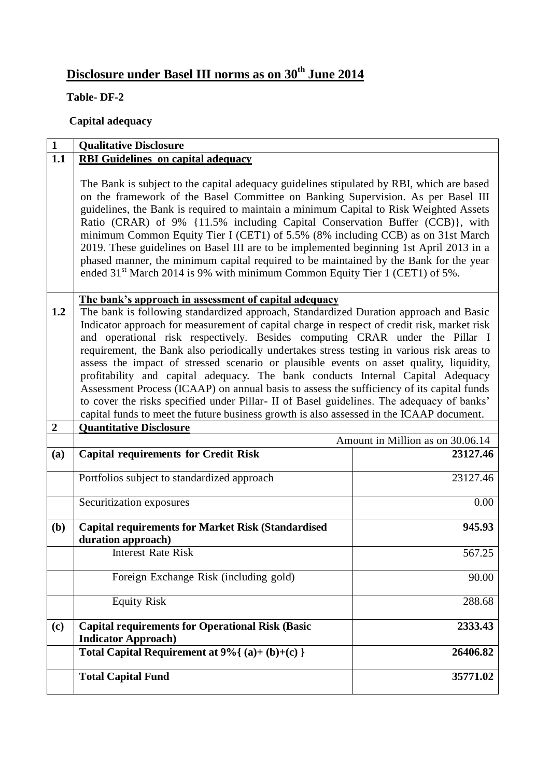# **Disclosure under Basel III norms as on 30 th June 2014**

## **Table- DF-2**

# **Capital adequacy**

| $\mathbf{1}$     | <b>Qualitative Disclosure</b>                                                                                                                                                                                                                                                                                                                                                                                                                                                                                                                                                                                                                                                                                                                                                                                                                                                                   |          |  |
|------------------|-------------------------------------------------------------------------------------------------------------------------------------------------------------------------------------------------------------------------------------------------------------------------------------------------------------------------------------------------------------------------------------------------------------------------------------------------------------------------------------------------------------------------------------------------------------------------------------------------------------------------------------------------------------------------------------------------------------------------------------------------------------------------------------------------------------------------------------------------------------------------------------------------|----------|--|
| 1.1              | <b>RBI Guidelines on capital adequacy</b>                                                                                                                                                                                                                                                                                                                                                                                                                                                                                                                                                                                                                                                                                                                                                                                                                                                       |          |  |
|                  | The Bank is subject to the capital adequacy guidelines stipulated by RBI, which are based<br>on the framework of the Basel Committee on Banking Supervision. As per Basel III<br>guidelines, the Bank is required to maintain a minimum Capital to Risk Weighted Assets<br>Ratio (CRAR) of 9% {11.5% including Capital Conservation Buffer (CCB)}, with<br>minimum Common Equity Tier I (CET1) of 5.5% (8% including CCB) as on 31st March<br>2019. These guidelines on Basel III are to be implemented beginning 1st April 2013 in a<br>phased manner, the minimum capital required to be maintained by the Bank for the year<br>ended 31 <sup>st</sup> March 2014 is 9% with minimum Common Equity Tier 1 (CET1) of 5%.                                                                                                                                                                       |          |  |
| 1.2              | The bank's approach in assessment of capital adequacy<br>The bank is following standardized approach, Standardized Duration approach and Basic<br>Indicator approach for measurement of capital charge in respect of credit risk, market risk<br>and operational risk respectively. Besides computing CRAR under the Pillar I<br>requirement, the Bank also periodically undertakes stress testing in various risk areas to<br>assess the impact of stressed scenario or plausible events on asset quality, liquidity,<br>profitability and capital adequacy. The bank conducts Internal Capital Adequacy<br>Assessment Process (ICAAP) on annual basis to assess the sufficiency of its capital funds<br>to cover the risks specified under Pillar- II of Basel guidelines. The adequacy of banks'<br>capital funds to meet the future business growth is also assessed in the ICAAP document. |          |  |
| $\boldsymbol{2}$ | <b>Quantitative Disclosure</b>                                                                                                                                                                                                                                                                                                                                                                                                                                                                                                                                                                                                                                                                                                                                                                                                                                                                  |          |  |
|                  | Amount in Million as on 30.06.14                                                                                                                                                                                                                                                                                                                                                                                                                                                                                                                                                                                                                                                                                                                                                                                                                                                                |          |  |
| (a)              | <b>Capital requirements for Credit Risk</b>                                                                                                                                                                                                                                                                                                                                                                                                                                                                                                                                                                                                                                                                                                                                                                                                                                                     | 23127.46 |  |
|                  | Portfolios subject to standardized approach                                                                                                                                                                                                                                                                                                                                                                                                                                                                                                                                                                                                                                                                                                                                                                                                                                                     | 23127.46 |  |
|                  | Securitization exposures                                                                                                                                                                                                                                                                                                                                                                                                                                                                                                                                                                                                                                                                                                                                                                                                                                                                        | 0.00     |  |
| ( <b>b</b> )     | <b>Capital requirements for Market Risk (Standardised)</b><br>duration approach)                                                                                                                                                                                                                                                                                                                                                                                                                                                                                                                                                                                                                                                                                                                                                                                                                | 945.93   |  |
|                  | Interest Rate Risk                                                                                                                                                                                                                                                                                                                                                                                                                                                                                                                                                                                                                                                                                                                                                                                                                                                                              | 567.25   |  |
|                  | Foreign Exchange Risk (including gold)                                                                                                                                                                                                                                                                                                                                                                                                                                                                                                                                                                                                                                                                                                                                                                                                                                                          | 90.00    |  |
|                  | <b>Equity Risk</b>                                                                                                                                                                                                                                                                                                                                                                                                                                                                                                                                                                                                                                                                                                                                                                                                                                                                              | 288.68   |  |
| (c)              | <b>Capital requirements for Operational Risk (Basic</b><br><b>Indicator Approach)</b>                                                                                                                                                                                                                                                                                                                                                                                                                                                                                                                                                                                                                                                                                                                                                                                                           | 2333.43  |  |
|                  | Total Capital Requirement at $9\%$ { (a)+ (b)+(c) }                                                                                                                                                                                                                                                                                                                                                                                                                                                                                                                                                                                                                                                                                                                                                                                                                                             | 26406.82 |  |
|                  | <b>Total Capital Fund</b>                                                                                                                                                                                                                                                                                                                                                                                                                                                                                                                                                                                                                                                                                                                                                                                                                                                                       | 35771.02 |  |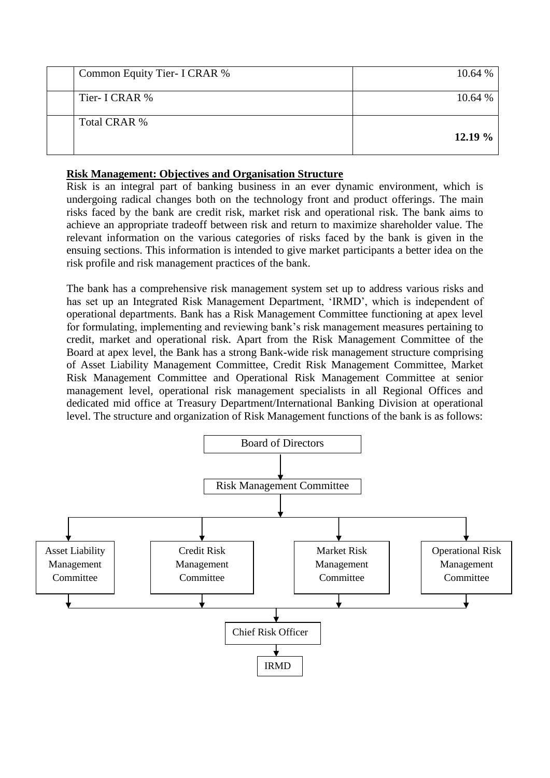| Common Equity Tier- I CRAR % | 10.64 % |
|------------------------------|---------|
| Tier- I CRAR %               | 10.64 % |
| Total CRAR %                 | 12.19%  |

## **Risk Management: Objectives and Organisation Structure**

Risk is an integral part of banking business in an ever dynamic environment, which is undergoing radical changes both on the technology front and product offerings. The main risks faced by the bank are credit risk, market risk and operational risk. The bank aims to achieve an appropriate tradeoff between risk and return to maximize shareholder value. The relevant information on the various categories of risks faced by the bank is given in the ensuing sections. This information is intended to give market participants a better idea on the risk profile and risk management practices of the bank.

The bank has a comprehensive risk management system set up to address various risks and has set up an Integrated Risk Management Department, 'IRMD', which is independent of operational departments. Bank has a Risk Management Committee functioning at apex level for formulating, implementing and reviewing bank's risk management measures pertaining to credit, market and operational risk. Apart from the Risk Management Committee of the Board at apex level, the Bank has a strong Bank-wide risk management structure comprising of Asset Liability Management Committee, Credit Risk Management Committee, Market Risk Management Committee and Operational Risk Management Committee at senior management level, operational risk management specialists in all Regional Offices and dedicated mid office at Treasury Department/International Banking Division at operational level. The structure and organization of Risk Management functions of the bank is as follows:

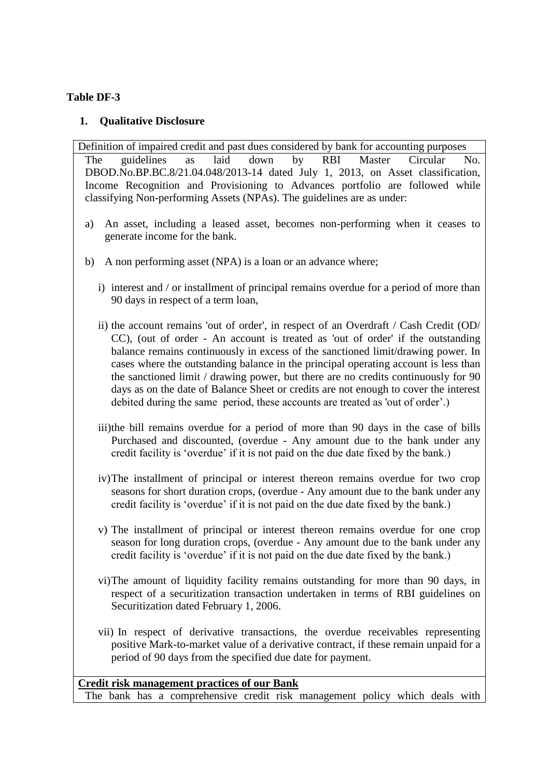## **Table DF-3**

#### **1. Qualitative Disclosure**

Definition of impaired credit and past dues considered by bank for accounting purposes The guidelines as laid down by RBI Master Circular No. DBOD.No.BP.BC.8/21.04.048/2013-14 dated July 1, 2013, on Asset classification, Income Recognition and Provisioning to Advances portfolio are followed while classifying Non-performing Assets (NPAs). The guidelines are as under:

- a) An asset, including a leased asset, becomes non-performing when it ceases to generate income for the bank.
- b) A non performing asset (NPA) is a loan or an advance where;
	- i) interest and / or installment of principal remains overdue for a period of more than 90 days in respect of a term loan,
	- ii) the account remains 'out of order', in respect of an Overdraft / Cash Credit (OD/ CC), (out of order - An account is treated as 'out of order' if the outstanding balance remains continuously in excess of the sanctioned limit/drawing power. In cases where the outstanding balance in the principal operating account is less than the sanctioned limit / drawing power, but there are no credits continuously for 90 days as on the date of Balance Sheet or credits are not enough to cover the interest debited during the same period, these accounts are treated as 'out of order'.)
	- iii)the bill remains overdue for a period of more than 90 days in the case of bills Purchased and discounted, (overdue - Any amount due to the bank under any credit facility is 'overdue' if it is not paid on the due date fixed by the bank.)
	- iv)The installment of principal or interest thereon remains overdue for two crop seasons for short duration crops, (overdue - Any amount due to the bank under any credit facility is 'overdue' if it is not paid on the due date fixed by the bank.)
	- v) The installment of principal or interest thereon remains overdue for one crop season for long duration crops, (overdue - Any amount due to the bank under any credit facility is 'overdue' if it is not paid on the due date fixed by the bank.)
	- vi)The amount of liquidity facility remains outstanding for more than 90 days, in respect of a securitization transaction undertaken in terms of RBI guidelines on Securitization dated February 1, 2006.
	- vii) In respect of derivative transactions, the overdue receivables representing positive Mark-to-market value of a derivative contract, if these remain unpaid for a period of 90 days from the specified due date for payment.

**Credit risk management practices of our Bank** The bank has a comprehensive credit risk management policy which deals with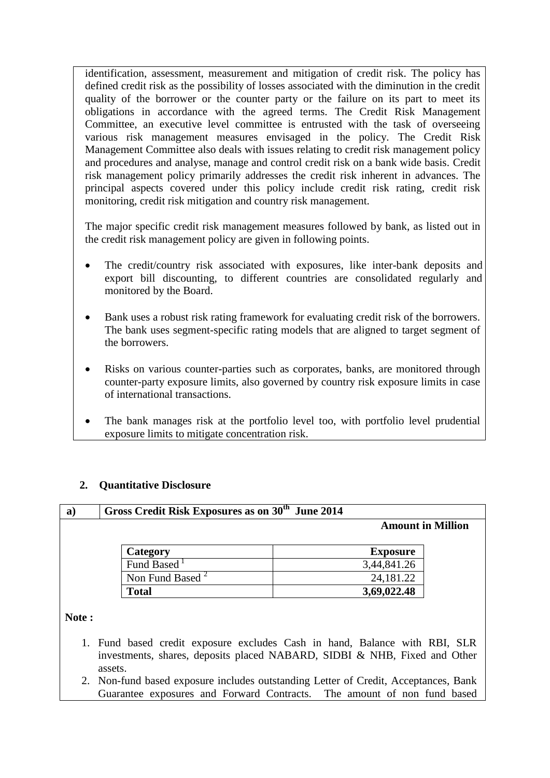identification, assessment, measurement and mitigation of credit risk. The policy has defined credit risk as the possibility of losses associated with the diminution in the credit quality of the borrower or the counter party or the failure on its part to meet its obligations in accordance with the agreed terms. The Credit Risk Management Committee, an executive level committee is entrusted with the task of overseeing various risk management measures envisaged in the policy. The Credit Risk Management Committee also deals with issues relating to credit risk management policy and procedures and analyse, manage and control credit risk on a bank wide basis. Credit risk management policy primarily addresses the credit risk inherent in advances. The principal aspects covered under this policy include credit risk rating, credit risk monitoring, credit risk mitigation and country risk management.

The major specific credit risk management measures followed by bank, as listed out in the credit risk management policy are given in following points.

- The credit/country risk associated with exposures, like inter-bank deposits and export bill discounting, to different countries are consolidated regularly and monitored by the Board.
- Bank uses a robust risk rating framework for evaluating credit risk of the borrowers. The bank uses segment-specific rating models that are aligned to target segment of the borrowers.
- Risks on various counter-parties such as corporates, banks, are monitored through counter-party exposure limits, also governed by country risk exposure limits in case of international transactions.
- The bank manages risk at the portfolio level too, with portfolio level prudential exposure limits to mitigate concentration risk.

## **2. Quantitative Disclosure**

| a) | Gross Credit Risk Exposures as on 30 <sup>th</sup> June 2014 | <b>Amount in Million</b> |  |
|----|--------------------------------------------------------------|--------------------------|--|
|    | Category                                                     | <b>Exposure</b>          |  |
|    | Fund Based <sup>1</sup>                                      | 3,44,841.26              |  |
|    | Non Fund Based <sup>2</sup>                                  | 24,181.22                |  |
|    | <b>Total</b>                                                 | 3,69,022.48              |  |

- 1. Fund based credit exposure excludes Cash in hand, Balance with RBI, SLR investments, shares, deposits placed NABARD, SIDBI & NHB, Fixed and Other assets.
- 2. Non-fund based exposure includes outstanding Letter of Credit, Acceptances, Bank Guarantee exposures and Forward Contracts. The amount of non fund based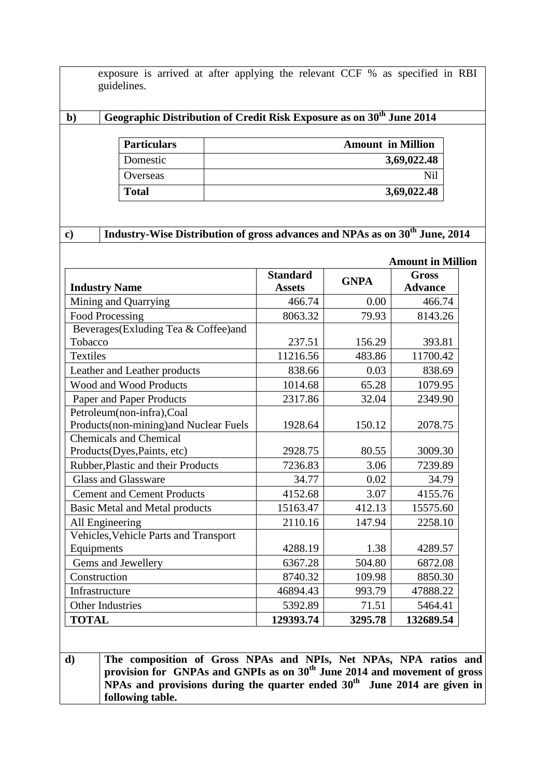exposure is arrived at after applying the relevant CCF % as specified in RBI guidelines.

## **b) Geographic Distribution of Credit Risk Exposure as on 30 th June 2014**

| <b>Particulars</b> | <b>Amount in Million</b> |
|--------------------|--------------------------|
| Domestic           | 3,69,022.48              |
| Overseas           |                          |
| <b>Total</b>       | 3,69,022.48              |

## **c) Industry-Wise Distribution of gross advances and NPAs as on 30 th June, 2014**

|                                        |                                  |             | <b>Amount in Million</b>       |
|----------------------------------------|----------------------------------|-------------|--------------------------------|
| <b>Industry Name</b>                   | <b>Standard</b><br><b>Assets</b> | <b>GNPA</b> | <b>Gross</b><br><b>Advance</b> |
| Mining and Quarrying                   | 466.74                           | 0.00        | 466.74                         |
| <b>Food Processing</b>                 | 8063.32                          | 79.93       | 8143.26                        |
| Beverages(Exluding Tea & Coffee)and    |                                  |             |                                |
| Tobacco                                | 237.51                           | 156.29      | 393.81                         |
| <b>Textiles</b>                        | 11216.56                         | 483.86      | 11700.42                       |
| Leather and Leather products           | 838.66                           | 0.03        | 838.69                         |
| <b>Wood and Wood Products</b>          | 1014.68                          | 65.28       | 1079.95                        |
| Paper and Paper Products               | 2317.86                          | 32.04       | 2349.90                        |
| Petroleum(non-infra),Coal              |                                  |             |                                |
| Products(non-mining) and Nuclear Fuels | 1928.64                          | 150.12      | 2078.75                        |
| <b>Chemicals and Chemical</b>          |                                  |             |                                |
| Products(Dyes, Paints, etc)            | 2928.75                          | 80.55       | 3009.30                        |
| Rubber, Plastic and their Products     | 7236.83                          | 3.06        | 7239.89                        |
| <b>Glass and Glassware</b>             | 34.77                            | 0.02        | 34.79                          |
| <b>Cement and Cement Products</b>      | 4152.68                          | 3.07        | 4155.76                        |
| <b>Basic Metal and Metal products</b>  | 15163.47                         | 412.13      | 15575.60                       |
| All Engineering                        | 2110.16                          | 147.94      | 2258.10                        |
| Vehicles, Vehicle Parts and Transport  |                                  |             |                                |
| Equipments                             | 4288.19                          | 1.38        | 4289.57                        |
| Gems and Jewellery                     | 6367.28                          | 504.80      | 6872.08                        |
| Construction                           | 8740.32                          | 109.98      | 8850.30                        |
| Infrastructure                         | 46894.43                         | 993.79      | 47888.22                       |
| <b>Other Industries</b>                | 5392.89                          | 71.51       | 5464.41                        |
| <b>TOTAL</b>                           | 129393.74                        | 3295.78     | 132689.54                      |

**d) The composition of Gross NPAs and NPIs, Net NPAs, NPA ratios and provision for GNPAs and GNPIs as on 30 th June 2014 and movement of gross NPAs and provisions during the quarter ended 30 th June 2014 are given in following table.**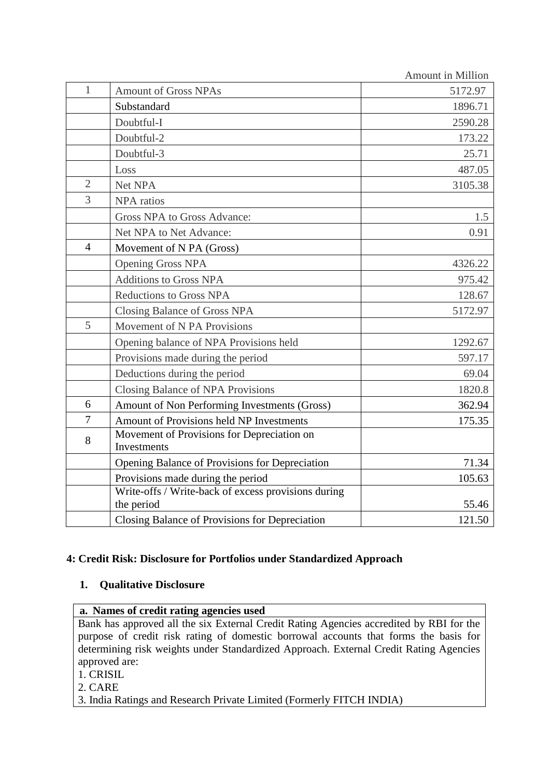|                |                                                           | <b>Amount in Million</b> |
|----------------|-----------------------------------------------------------|--------------------------|
| $\mathbf{1}$   | <b>Amount of Gross NPAs</b>                               | 5172.97                  |
|                | Substandard                                               | 1896.71                  |
|                | Doubtful-I                                                | 2590.28                  |
|                | Doubtful-2                                                | 173.22                   |
|                | Doubtful-3                                                | 25.71                    |
|                | Loss                                                      | 487.05                   |
| $\overline{2}$ | Net NPA                                                   | 3105.38                  |
| $\overline{3}$ | <b>NPA</b> ratios                                         |                          |
|                | Gross NPA to Gross Advance:                               | 1.5                      |
|                | Net NPA to Net Advance:                                   | 0.91                     |
| $\overline{4}$ | Movement of N PA (Gross)                                  |                          |
|                | <b>Opening Gross NPA</b>                                  | 4326.22                  |
|                | <b>Additions to Gross NPA</b>                             | 975.42                   |
|                | Reductions to Gross NPA                                   | 128.67                   |
|                | Closing Balance of Gross NPA                              | 5172.97                  |
| 5              | Movement of N PA Provisions                               |                          |
|                | Opening balance of NPA Provisions held                    | 1292.67                  |
|                | Provisions made during the period                         | 597.17                   |
|                | Deductions during the period                              | 69.04                    |
|                | Closing Balance of NPA Provisions                         | 1820.8                   |
| 6              | Amount of Non Performing Investments (Gross)              | 362.94                   |
| $\overline{7}$ | Amount of Provisions held NP Investments                  | 175.35                   |
| 8              | Movement of Provisions for Depreciation on<br>Investments |                          |
|                | Opening Balance of Provisions for Depreciation            | 71.34                    |
|                | Provisions made during the period                         | 105.63                   |
|                | Write-offs / Write-back of excess provisions during       |                          |
|                | the period                                                | 55.46                    |
|                | Closing Balance of Provisions for Depreciation            | 121.50                   |

## **4: Credit Risk: Disclosure for Portfolios under Standardized Approach**

## **1. Qualitative Disclosure**

#### **a. Names of credit rating agencies used**

Bank has approved all the six External Credit Rating Agencies accredited by RBI for the purpose of credit risk rating of domestic borrowal accounts that forms the basis for determining risk weights under Standardized Approach. External Credit Rating Agencies approved are:

1. CRISIL

- 2. CARE
- 3. India Ratings and Research Private Limited (Formerly FITCH INDIA)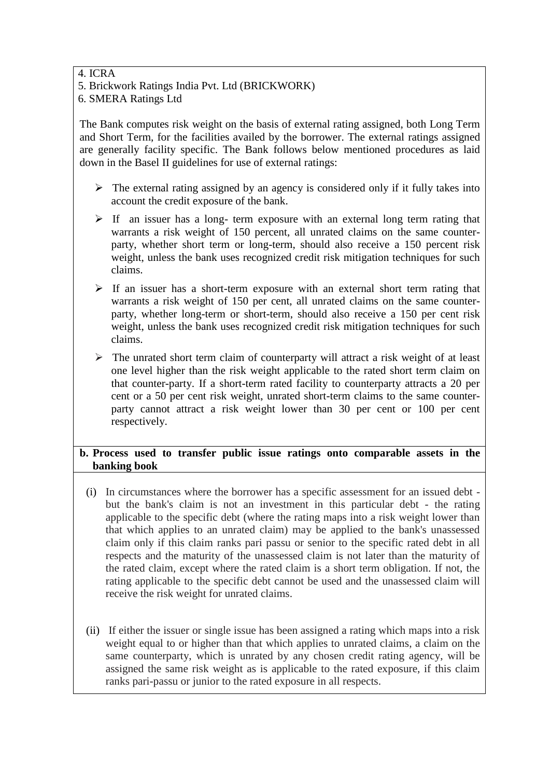## 4. ICRA

5. Brickwork Ratings India Pvt. Ltd (BRICKWORK)

6. SMERA Ratings Ltd

The Bank computes risk weight on the basis of external rating assigned, both Long Term and Short Term, for the facilities availed by the borrower. The external ratings assigned are generally facility specific. The Bank follows below mentioned procedures as laid down in the Basel II guidelines for use of external ratings:

- $\triangleright$  The external rating assigned by an agency is considered only if it fully takes into account the credit exposure of the bank.
- $\triangleright$  If an issuer has a long- term exposure with an external long term rating that warrants a risk weight of 150 percent, all unrated claims on the same counterparty, whether short term or long-term, should also receive a 150 percent risk weight, unless the bank uses recognized credit risk mitigation techniques for such claims.
- $\triangleright$  If an issuer has a short-term exposure with an external short term rating that warrants a risk weight of 150 per cent, all unrated claims on the same counterparty, whether long-term or short-term, should also receive a 150 per cent risk weight, unless the bank uses recognized credit risk mitigation techniques for such claims.
- $\triangleright$  The unrated short term claim of counterparty will attract a risk weight of at least one level higher than the risk weight applicable to the rated short term claim on that counter-party. If a short-term rated facility to counterparty attracts a 20 per cent or a 50 per cent risk weight, unrated short-term claims to the same counterparty cannot attract a risk weight lower than 30 per cent or 100 per cent respectively.

## **b. Process used to transfer public issue ratings onto comparable assets in the banking book**

- (i) In circumstances where the borrower has a specific assessment for an issued debt but the bank's claim is not an investment in this particular debt - the rating applicable to the specific debt (where the rating maps into a risk weight lower than that which applies to an unrated claim) may be applied to the bank's unassessed claim only if this claim ranks pari passu or senior to the specific rated debt in all respects and the maturity of the unassessed claim is not later than the maturity of the rated claim, except where the rated claim is a short term obligation. If not, the rating applicable to the specific debt cannot be used and the unassessed claim will receive the risk weight for unrated claims.
- (ii) If either the issuer or single issue has been assigned a rating which maps into a risk weight equal to or higher than that which applies to unrated claims, a claim on the same counterparty, which is unrated by any chosen credit rating agency, will be assigned the same risk weight as is applicable to the rated exposure, if this claim ranks pari-passu or junior to the rated exposure in all respects.